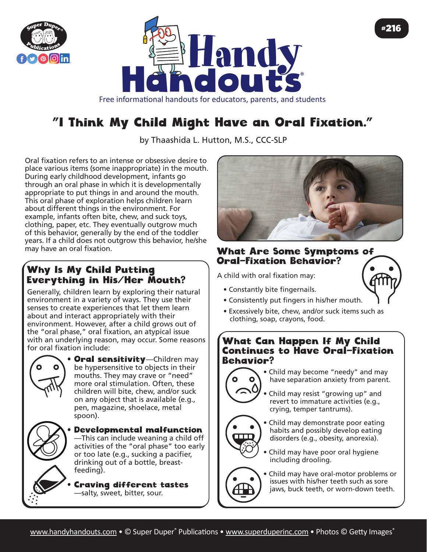



Free informational handouts for educators, parents, and students

# "I Think My Child Might Have an Oral Fixation."

by Thaashida L. Hutton, M.S., CCC-SLP

Oral fixation refers to an intense or obsessive desire to place various items (some inappropriate) in the mouth. During early childhood development, infants go through an oral phase in which it is developmentally appropriate to put things in and around the mouth. This oral phase of exploration helps children learn about different things in the environment. For example, infants often bite, chew, and suck toys, clothing, paper, etc. They eventually outgrow much of this behavior, generally by the end of the toddler years. If a child does not outgrow this behavior, he/she

### Why Is My Child Putting Everything in His/Her Mouth?

Generally, children learn by exploring their natural environment in a variety of ways. They use their senses to create experiences that let them learn about and interact appropriately with their environment. However, after a child grows out of the "oral phase," oral fixation, an atypical issue with an underlying reason, may occur. Some reasons for oral fixation include:



• Oral sensitivity—Children may be hypersensitive to objects in their mouths. They may crave or "need" more oral stimulation. Often, these children will bite, chew, and/or suck on any object that is available (e.g., pen, magazine, shoelace, metal spoon).



• Developmental malfunction —This can include weaning a child off activities of the "oral phase" too early or too late (e.g., sucking a pacifier, drinking out of a bottle, breastfeeding).

• Craving different tastes —salty, sweet, bitter, sour.



#### What Are Some Symptoms of Oral-Fixation Behavior?

A child with oral fixation may:

• Constantly bite fingernails.



#216

- Consistently put fingers in his/her mouth.
- Excessively bite, chew, and/or suck items such as clothing, soap, crayons, food.

#### What Can Happen If My Child Continues to Have Oral-Fixation Behavior?



• Child may become "needy" and may have separation anxiety from parent.

• Child may resist "growing up" and revert to immature activities (e.g., crying, temper tantrums).

• Child may demonstrate poor eating habits and possibly develop eating disorders (e.g., obesity, anorexia).

• Child may have poor oral hygiene including drooling.

• Child may have oral-motor problems or issues with his/her teeth such as sore jaws, buck teeth, or worn-down teeth.